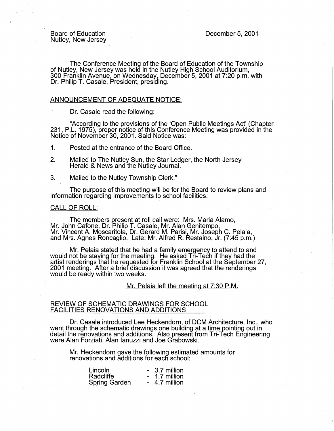Board of Education Nutley, New Jersey

The Conference Meeting of the Board of Education of the Township of Nutley, New Jersey was held in the Nutley High School Auditorium, 300 Franklin Avenue, on Wednesday, December 5, 2001 at 7:20 p.m. with Dr. Philip T. Casale, President, presiding. ,

## ANNOUNCEMENT OF ADEQUATE NOTICE:

Dr. Casale read the following:

"According to the provisions of the 'Open Public Meetings Act' (Chapter 231, P.L. 1975), proper notice of this Conference Meeting was provided in the Notice of November 30, 2001. Said Notice was:

1. Posted at the entrance of the Board Office.

- 2. Mailed to The Nutley Sun, the Star Ledger, the North Jersey Herald & News and the Nutley Journal.
- 3. Mailed to the Nutley Township Clerk."

The purpose of this meeting will be for the Board to review plans and information regarding improvements to school facilities.

#### CALL OF ROLL:

The members present at roll call were: Mrs. Maria Alamo, Mr. John Catone, Dr. Philip T. Casale, Mr. Alan Genitempo, Mr. Vincent A. Moscaritola, Dr. Gerard M. Parisi, Mr. Joseph C. Pelaia, and Mrs. Agnes Roncaglio. Late: Mr. Alfred R. Restaino, Jr. (7:45 p.m.)

Mr. Pelaia stated that he had a family emergency to attend to and would not be staying for the meeting. He asked Tri-Tech if they had the<br>artist renderings that he requested for Franklin School at the September 27, 2001 meeting. After a brief discussion it was agreed that the renderings would be ready within two weeks.

Mr. Pelaia left the meeting at 7:30 P.M.

#### REVIEW OF SCHEMATIC DRAWINGS FOR SCHOOL FACILITIES RENOVATIONS AND ADDITIONS

Dr. Casale introduced Lee Heckendorn, of DCM Architecture, Inc., who went through the schematic drawings one building at a time pointing out in detail the renovations and additions. Also present from Tri-Tech Engineering were Alan Forziati, Alan Ianuzzi and Joe Grabowski.

Mr. Heckendorn gave the following estimated amounts for renovations and additions for each school:

| Lincoln              | - 3.7 million |
|----------------------|---------------|
| Radcliffe            | 1.7 million   |
| <b>Spring Garden</b> | 4.7 million   |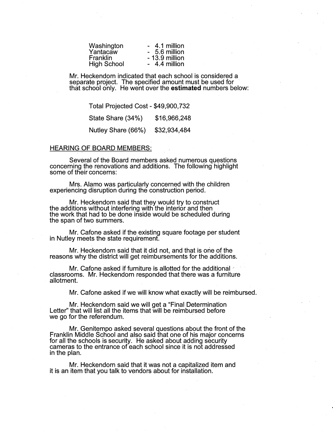| Washington         | - 4.1 million   |
|--------------------|-----------------|
| Yantacaw           | - 5.6 million   |
| <b>Franklin</b>    | $-13.9$ million |
| <b>High School</b> | - 4.4 million   |
|                    |                 |

Mr. Heckendom indicated that each school is considered a separate project. The specified amount must be used for that school only. He went over the **estimated** numbers below:

Total Projected Cost - \$49,900,732 State Share (34%) \$16,966,248 Nutley Share (66%) \$32,934,484

#### HEARING OF BOARD MEMBERS:

Several of the Board members asked numerous questions concerning the renovations and additions. The following highlight some of their concerns:

Mrs. Alamo was particularly concerned with the children experiencing disruption during the construction period.

Mr. Heckendom said that they would try to construct the additions without interfering with the interior and then the work that had to be done inside would be scheduled during the span of two summers.

Mr. Cafone asked if the existing square footage per student in Nutley meets the state requirement.

Mr. Heckendorn said that it did not, and that is one of the reasons why the district will get reimbursements for the additions.

Mr. Cafone asked if furniture is allotted for the additional <sup>\*</sup> classrooms. Mr. Heckendorn responded that there was a furniture allotment.

Mr. Cafone asked if we will know what exactly will be reimbursed.

Mr. Heckendorn said we will get a "Final Determination Letter" that will list all the items that will be reimbursed before we go for the referendum.

Mr. Genitempo asked several questions about the front of the Franklin Middle School and also said that one of his major concerns for all the schools is security. He asked about adding security cameras to the entrance of each school since it is not addressed in the plan.

Mr. Heckendorn said that it was not a capitalized item and it is an item that you talk to vendors about for installation.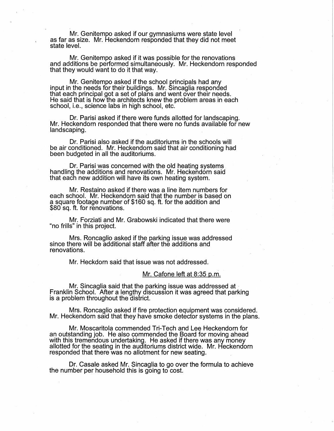Mr. Genitempo asked if our gymnasiums were state level as far as size. Mr. Heckendorn responded that they did not meet state level.

Mr. Genitempo asked if it was possible for the renovations and additions be performed simultaneously. Mr. Heckendorn responded that they would want to do it that way.

Mr. Genitempo asked if the school principals had any input in the needs for their buildings. Mr. Sincaglia responded that each principal got a set of plans and went over their needs. He said that is how the architects knew the problem areas in each school, i.e., science labs in high school, etc.

Dr. Parisi asked if there were funds allotted for landscaping. Mr. Heckendorn responded that there were no funds available for new landscaping.

Dr. Parisi also asked if the auditoriums in the schools will be air conditioned. Mr. Heckendorn said that air conditioning had been budgeted in all the auditoriums.

Dr. Parisi was concerned with the old heating systems . handling the additions and renovations. Mr. Heckendorn said that each new addition will have its own heating system.

Mr. Restaino asked if there was a line item numbers for each school. Mr. Heckendorn said that the number is based on a square footage number of \$160 sq. ft. for the addition and \$80 sq. ft. for renovations.

Mr. Forziati and Mr. Grabowski indicated that there were "no frills" in this project.

Mrs. Roncaglio asked if the parking issue was addressed since there will be additional staff after the additions and renovations.

Mr. Heckdorn said that issue was not addressed.

#### Mr. Cafone left at 8:35 p.m.

Mr. Sincaglia said that the parking issue was addressed at - Franklin School. After a lengthy discussion it was agreed that parking is a problem throughout the district.

Mrs. Roncaglio asked if fire protection equipment was considered. Mr. Heckendorn said that they have smoke detector systems in the plans.

Mr. Moscaritola commended Tri-Tech and Lee Heckendorn for an outstanding job. He also commended the Board for moving ahead with this tremendous undertaking. He asked if there was any money allotted for the seating in the auditoriums district wide. Mr. Heckendorn responded that there was no allotment for new seating.

Dr. Casale asked Mr. Sincaglia to go over the formula to achieve the number per household this is going to cost.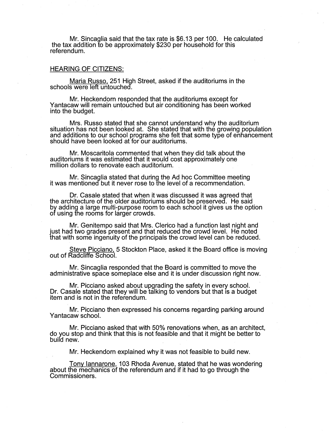Mr. Sincaglia said that the tax rate is \$6.13 per 100. He calculated the tax addition to be approximately \$230 per household for this referendum.

# HEARING OF CITIZENS:

Maria Russo, 251 High Street, asked if the auditoriums in the schools were left untouched.

Mr. Heckendorn responded that the auditoriums except for Yantacaw will remain untouched but air conditioning has been worked into the budget.

Mrs. Russo stated that she cannot understand why the auditorium situation has not been looked at. She stated that with the growing population and additions to our school programs she felt that some type of enhancement should have been looked at for our auditoriums.

Mr. Moscaritola commented that when they did talk about the auditoriums it was estimated that it would cost approximately one million dollars to renovate each auditorium.

Mr. Sincaglia stated that during the Ad hoc Committee meeting it was mentioned but it never rose to the level of a recommendation.

Dr. Casale stated that when it was discussed it was agreed that the architecture of the older auditoriums should be preserved. He said by adding a large multi-purpose room to each school it gives us the option of using the rooms for larger crowds.

Mr. Genitempo said that Mrs. Clerico had a function last night and just had two grades present and that reduced the crowd level. He noted that with some ingenuity of the principals the crowd level can be reduced.

Steve Picciano, 5 Stockton Place, asked it the Board office is moving out of Radcliffe School.

Mr. Sincaglia responded that the Board is committed to move the administrative space someplace else and it is under discussion right now.

Mr. Picciano asked about upgrading the safety in every school. Dr. Casale stated that they will be talking to vendors but that is a budget item and is not in the referendum.

Mr. Picciano then expressed his concerns regarding parking around Yantacaw school.

Mr. Picciano asked that with 50% renovations when, as an architect, do you stop and think that this is not feasible and that it might be better to build new.

Mr. Heckendorn explained why it was not feasible to build new.

Tony lannarone, 103 Rhoda Avenue, stated that he was wondering about the mechanics of the referendum and if it had to go through the Commissioners.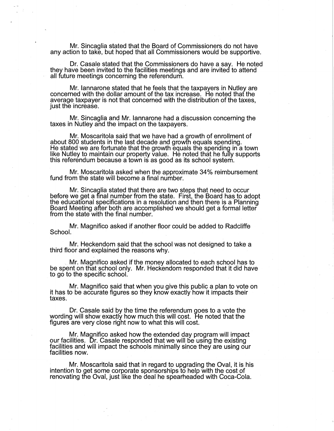Mr. Sincaglia stated that the Board of Commissioners do not have any action to take, but hoped that all Commissioners would be supportive.

Dr. Casale stated that the Commissioners do have a say. He noted they have been invited to the facilities meetings and are invited to attend all future meetings concerning the referendum.

Mr. lannarone stated that he feels that the taxpayers in Nutley are concerned with the dollar amount of the tax increase. He noted that the average taxpayer is not that concerned with the distribution of the taxes, just the increase.

Mr. Sincaglia and Mr. lannarone had a discussion concerning the taxes in Nutley and the impact on the taxpayers.

Mr. Moscaritola said that we have had a growth of enrollment of about 800 students in the last decade and growth equals spending. He stated we are fortunate that the growth equals the spending in a town like Nutley to maintain our property value. He noted that he fully supports this referendum because a town is as good as its school system.

Mr. Moscaritola asked when the approximate 34% reimbursement fund from the state will become a final number.

Mr. Sincaglia stated that there are two steps that need to occur before we get a final number from the state. First, the Board has to adopt the educational specifications in a resolution and then there is a Planning Board Meeting after both are accomplished we should get a formal letter from the state with the final number.

Mr. Magnifico asked if another floor could be added to Radcliffe School.

Mr. Heckendom said that the school was not designed to take a third floor and explained the reasons why.

Mr. Magnifico asked if the money allocated to each school has to be spent on that school only. Mr. Heckendorn responded that it did have to go to the specific school.

Mr. Magnifico said that when you give this public a plan to vote on it has to be accurate figures so they know exactly how it impacts their taxes.

Dr. Casale said by the time the referendum goes to a vote the wording will show exactly how much this will cost. He noted that the figures are very close right now to what this will cost.

Mr. Magnifico asked how the extended day program will impact our facilities. Dr. Casale responded that we will be using the existing facilities and will impact the schools minimally since they are using our facilities now.

Mr. Moscaritola said that in regard to upgrading the Oval, it is his intention to get some corporate sponsorships to help with the cost of renovating the Oval, just like the deal he spearheaded with Coca-Cola.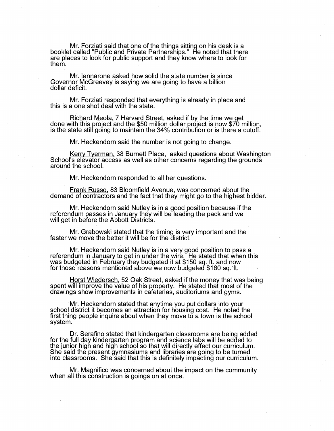Mr. Forziati said that one of the things sitting on his desk is a booklet called "Public and Private Partnerships." He noted that there are places to look for public support and they know where to look for them.

Mr. lannarone asked how solid the state number is since Governor McGreevey is saying we are going to have a billion dollar deficit.

Mr. Forziati responded that everything is already in place and this is a one shot deal with the state.

Richard Meola, 7 Harvard Street, asked if by the time we get done with this project and the \$50 million dollar project is now \$70 million, is the state still going to maintain the 34% contribution or is there a cutoff.

Mr. Heckendorn said the number is not going to change.

Kerry Tyerman, 38 Burnett Place, asked questions about Washington School's elevator access as well as other concerns regarding the grounds around the school.

Mr. Heckendorn responded to all her questions.

Frank Russo, 83 Bloomfield Avenue, was concerned about the demand of contractors and the fact that they might go to the highest bidder.

Mr. Heckendorn said Nutley is in a good position because if the referendum passes in January they will be leading the pack and we will get in before the Abbott Districts.

Mr. Grabowski stated that the timing is very important and the faster we move the better it will be for the district.

Mr. Heckendorn said Nutley is in a very good position to pass a referendum in January to get in under the wire. He stated that when this was budgeted in February they budgeted it at \$150 sq. ft. and now for those reasons mentioned above we now budgeted \$160 sq. ft.

Horst Wiedersch, 52 Oak Street, asked if the money that was being spent will improve the value of his property. He stated that most of the drawings show improvements in cafeterias, auditoriums and gyms.

Mr. Heckendorn stated that anytime you put dollars into your school district it becomes an attraction for housing cost. He noted the first thing people inquire about when they move to a town is the school system.

Dr. Serafino stated that kindergarten classrooms are being added for the full day kindergarten program and science labs will be added to the junior high and high school so that will directly effect our curriculum. She said the present gymnasiums and libraries are going to be turned into classrooms. She said that this is definitely impacting our curriculum.

Mr. Magnifico was concerned about the impact on the community when all this construction is goings on at once.